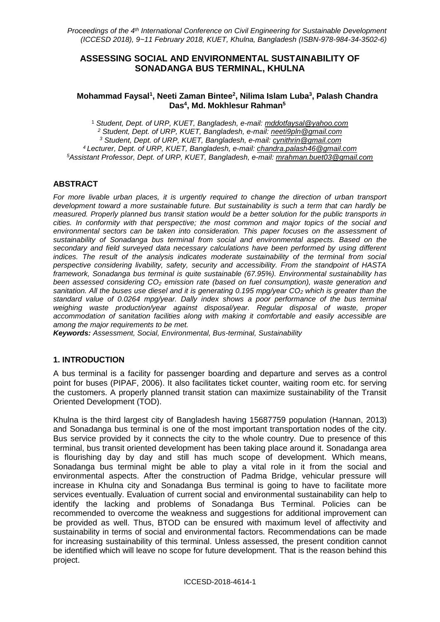### **ASSESSING SOCIAL AND ENVIRONMENTAL SUSTAINABILITY OF SONADANGA BUS TERMINAL, KHULNA**

#### **Mohammad Faysal<sup>1</sup> , Neeti Zaman Bintee<sup>2</sup> , Nilima Islam Luba<sup>3</sup> , Palash Chandra Das<sup>4</sup> , Md. Mokhlesur Rahman<sup>5</sup>**

<sup>1</sup> *Student, Dept. of URP, KUET, Bangladesh, e-mail: [mddotfaysal@yahoo.com](mailto:mddotfaysal@yahoo.com)*

*<sup>2</sup> Student, Dept. of URP, KUET, Bangladesh, e-mail: [neeti9pln@gmail.com](mailto:neeti9pln@gmail.com)*

*<sup>3</sup> Student, Dept. of URP, KUET, Bangladesh, e-mail: [cynithrin@gmail.com](mailto:cynithrin@gmail.com)*

*<sup>4</sup> Lecturer, Dept. of URP, KUET, Bangladesh, e-mail: [chandra.palash46@gmail.com](mailto:chandra.palash46@gmail.com) <sup>5</sup>Assistant Professor, Dept. of URP, KUET, Bangladesh, e-mail: [mrahman.buet03@gmail.com](mailto:mrahman.buet03@gmail.com)*

### **ABSTRACT**

*For more livable urban places, it is urgently required to change the direction of urban transport development toward a more sustainable future. But sustainability is such a term that can hardly be measured. Properly planned bus transit station would be a better solution for the public transports in cities. In conformity with that perspective; the most common and major topics of the social and environmental sectors can be taken into consideration. This paper focuses on the assessment of sustainability of Sonadanga bus terminal from social and environmental aspects. Based on the secondary and field surveyed data necessary calculations have been performed by using different indices. The result of the analysis indicates moderate sustainability of the terminal from social perspective considering livability, safety, security and accessibility. From the standpoint of HASTA framework, Sonadanga bus terminal is quite sustainable (67.95%). Environmental sustainability has been assessed considering CO<sup>2</sup> emission rate (based on fuel consumption), waste generation and sanitation. All the buses use diesel and it is generating 0.195 mpg/year CO<sup>2</sup> which is greater than the standard value of 0.0264 mpg/year. Dally index shows a poor performance of the bus terminal weighing waste production/year against disposal/year. Regular disposal of waste, proper accommodation of sanitation facilities along with making it comfortable and easily accessible are among the major requirements to be met.* 

*Keywords: Assessment, Social, Environmental, Bus-terminal, Sustainability*

# **1. INTRODUCTION**

A bus terminal is a facility for passenger boarding and departure and serves as a control point for buses (PIPAF, 2006). It also facilitates ticket counter, waiting room etc. for serving the customers. A properly planned transit station can maximize sustainability of the Transit Oriented Development (TOD).

Khulna is the third largest city of Bangladesh having 15687759 population (Hannan, 2013) and Sonadanga bus terminal is one of the most important transportation nodes of the city. Bus service provided by it connects the city to the whole country. Due to presence of this terminal, bus transit oriented development has been taking place around it. Sonadanga area is flourishing day by day and still has much scope of development. Which means, Sonadanga bus terminal might be able to play a vital role in it from the social and environmental aspects. After the construction of Padma Bridge, vehicular pressure will increase in Khulna city and Sonadanga Bus terminal is going to have to facilitate more services eventually. Evaluation of current social and environmental sustainability can help to identify the lacking and problems of Sonadanga Bus Terminal. Policies can be recommended to overcome the weakness and suggestions for additional improvement can be provided as well. Thus, BTOD can be ensured with maximum level of affectivity and sustainability in terms of social and environmental factors. Recommendations can be made for increasing sustainability of this terminal. Unless assessed, the present condition cannot be identified which will leave no scope for future development. That is the reason behind this project.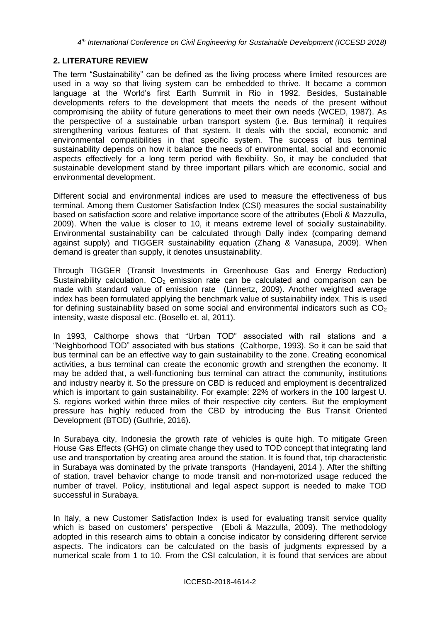# **2. LITERATURE REVIEW**

The term "Sustainability" can be defined as the living process where limited resources are used in a way so that living system can be embedded to thrive. It became a common language at the World's first Earth Summit in Rio in 1992. Besides, Sustainable developments refers to the development that meets the needs of the present without compromising the ability of future generations to meet their own needs (WCED, 1987). As the perspective of a sustainable urban transport system (i.e. Bus terminal) it requires strengthening various features of that system. It deals with the social, economic and environmental compatibilities in that specific system. The success of bus terminal sustainability depends on how it balance the needs of environmental, social and economic aspects effectively for a long term period with flexibility. So, it may be concluded that sustainable development stand by three important pillars which are economic, social and environmental development.

Different social and environmental indices are used to measure the effectiveness of bus terminal. Among them Customer Satisfaction Index (CSI) measures the social sustainability based on satisfaction score and relative importance score of the attributes (Eboli & Mazzulla, 2009). When the value is closer to 10, it means extreme level of socially sustainability. Environmental sustainability can be calculated through Dally index (comparing demand against supply) and TIGGER sustainability equation (Zhang & Vanasupa, 2009). When demand is greater than supply, it denotes unsustainability.

Through TIGGER (Transit Investments in Greenhouse Gas and Energy Reduction) Sustainability calculation,  $CO<sub>2</sub>$  emission rate can be calculated and comparison can be made with standard value of emission rate (Linnertz, 2009). Another weighted average index has been formulated applying the benchmark value of sustainability index. This is used for defining sustainability based on some social and environmental indicators such as  $CO<sub>2</sub>$ intensity, waste disposal etc. (Bosello et. al, 2011).

In 1993, Calthorpe shows that "Urban TOD" associated with rail stations and a "Neighborhood TOD" associated with bus stations (Calthorpe, 1993). So it can be said that bus terminal can be an effective way to gain sustainability to the zone. Creating economical activities, a bus terminal can create the economic growth and strengthen the economy. It may be added that, a well-functioning bus terminal can attract the community, institutions and industry nearby it. So the pressure on CBD is reduced and employment is decentralized which is important to gain sustainability. For example: 22% of workers in the 100 largest U. S. regions worked within three miles of their respective city centers. But the employment pressure has highly reduced from the CBD by introducing the Bus Transit Oriented Development (BTOD) (Guthrie, 2016).

In Surabaya city, Indonesia the growth rate of vehicles is quite high. To mitigate Green House Gas Effects (GHG) on climate change they used to TOD concept that integrating land use and transportation by creating area around the station. It is found that, trip characteristic in Surabaya was dominated by the private transports (Handayeni, 2014 ). After the shifting of station, travel behavior change to mode transit and non-motorized usage reduced the number of travel. Policy, institutional and legal aspect support is needed to make TOD successful in Surabaya.

In Italy, a new Customer Satisfaction Index is used for evaluating transit service quality which is based on customers' perspective (Eboli & Mazzulla, 2009). The methodology adopted in this research aims to obtain a concise indicator by considering different service aspects. The indicators can be calculated on the basis of judgments expressed by a numerical scale from 1 to 10. From the CSI calculation, it is found that services are about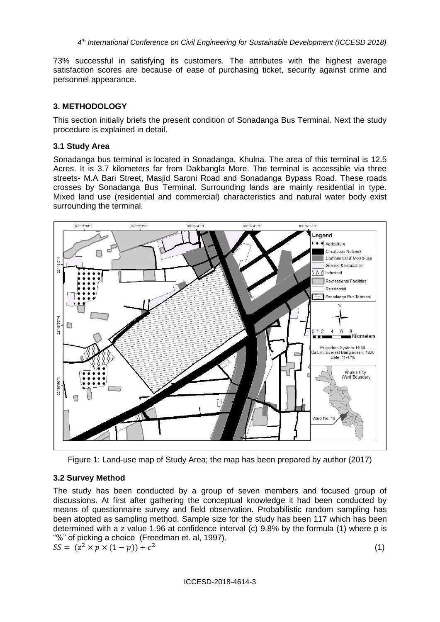73% successful in satisfying its customers. The attributes with the highest average satisfaction scores are because of ease of purchasing ticket, security against crime and personnel appearance.

### **3. METHODOLOGY**

This section initially briefs the present condition of Sonadanga Bus Terminal. Next the study procedure is explained in detail.

### **3.1 Study Area**

Sonadanga bus terminal is located in Sonadanga, Khulna. The area of this terminal is 12.5 Acres. It is 3.7 kilometers far from Dakbangla More. The terminal is accessible via three streets- M.A Bari Street, Masjid Saroni Road and Sonadanga Bypass Road. These roads crosses by Sonadanga Bus Terminal. Surrounding lands are mainly residential in type. Mixed land use (residential and commercial) characteristics and natural water body exist surrounding the terminal.



Figure 1: Land-use map of Study Area; the map has been prepared by author (2017)

# **3.2 Survey Method**

The study has been conducted by a group of seven members and focused group of discussions. At first after gathering the conceptual knowledge it had been conducted by means of questionnaire survey and field observation. Probabilistic random sampling has been atopted as sampling method. Sample size for the study has been 117 which has been determined with a z value 1.96 at confidence interval (c) 9.8% by the formula (1) where p is "%" of picking a choice (Freedman et. al, 1997).

$$
SS = (z^2 \times p \times (1 - p)) \div c^2
$$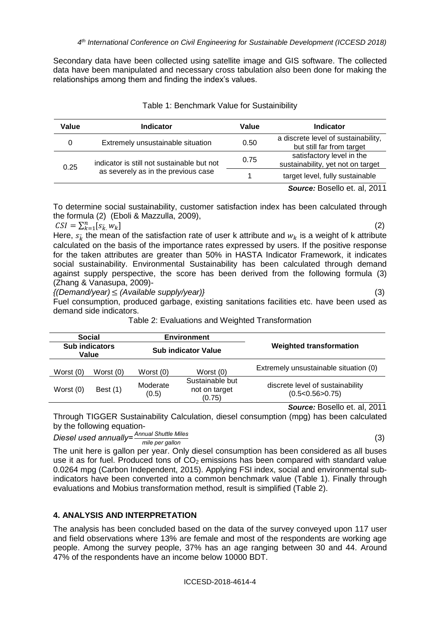Secondary data have been collected using satellite image and GIS software. The collected data have been manipulated and necessary cross tabulation also been done for making the relationships among them and finding the index's values.

| Value | <b>Indicator</b>                                                                  | Value | <b>Indicator</b>                                                 |
|-------|-----------------------------------------------------------------------------------|-------|------------------------------------------------------------------|
|       | Extremely unsustainable situation                                                 | 0.50  | a discrete level of sustainability,<br>but still far from target |
| 0.25  | indicator is still not sustainable but not<br>as severely as in the previous case | 0.75  | satisfactory level in the<br>sustainability, yet not on target   |
|       |                                                                                   |       | target level, fully sustainable                                  |

#### Table 1: Benchmark Value for Sustainibility

*Source:* Bosello et. al, 2011

To determine social sustainability, customer satisfaction index has been calculated through the formula (2) (Eboli & Mazzulla, 2009),

 $CSI = \sum_{k=1}^{n} [s_{k}^{*}, w_{k}]$  (2) Here,  $s_{\vec{k}}$  the mean of the satisfaction rate of user k attribute and  $w_k$  is a weight of k attribute calculated on the basis of the importance rates expressed by users. If the positive response for the taken attributes are greater than 50% in HASTA Indicator Framework, it indicates social sustainability. Environmental Sustainability has been calculated through demand against supply perspective, the score has been derived from the following formula (3) (Zhang & Vanasupa, 2009)-

*{(Demand/year)* ≤ *(Available supply/year)}* (3)

Fuel consumption, produced garbage, existing sanitations facilities etc. have been used as demand side indicators.

| Social<br><b>Sub indicators</b><br>Value |             |                            | <b>Environment</b>                         |                                                     |  |  |
|------------------------------------------|-------------|----------------------------|--------------------------------------------|-----------------------------------------------------|--|--|
|                                          |             | <b>Sub indicator Value</b> |                                            | <b>Weighted transformation</b>                      |  |  |
| Worst (0)                                | Worst $(0)$ | Worst $(0)$                | Worst (0)                                  | Extremely unsustainable situation (0)               |  |  |
| Worst (0)                                | Best $(1)$  | Moderate<br>(0.5)          | Sustainable but<br>not on target<br>(0.75) | discrete level of sustainability<br>(0.5<0.56>0.75) |  |  |
|                                          |             |                            |                                            | Source: Bosello et. al, 2011                        |  |  |

Table 2: Evaluations and Weighted Transformation

Through TIGGER Sustainability Calculation, diesel consumption (mpg) has been calculated by the following equation-

*Diesel used annually= Annual Shuttle Miles mile per gallon* (3)

The unit here is gallon per year. Only diesel consumption has been considered as all buses use it as for fuel. Produced tons of  $CO<sub>2</sub>$  emissions has been compared with standard value 0.0264 mpg (Carbon Independent, 2015). Applying FSI index, social and environmental subindicators have been converted into a common benchmark value (Table 1). Finally through evaluations and Mobius transformation method, result is simplified (Table 2).

# **4. ANALYSIS AND INTERPRETATION**

The analysis has been concluded based on the data of the survey conveyed upon 117 user and field observations where 13% are female and most of the respondents are working age people. Among the survey people, 37% has an age ranging between 30 and 44. Around 47% of the respondents have an income below 10000 BDT.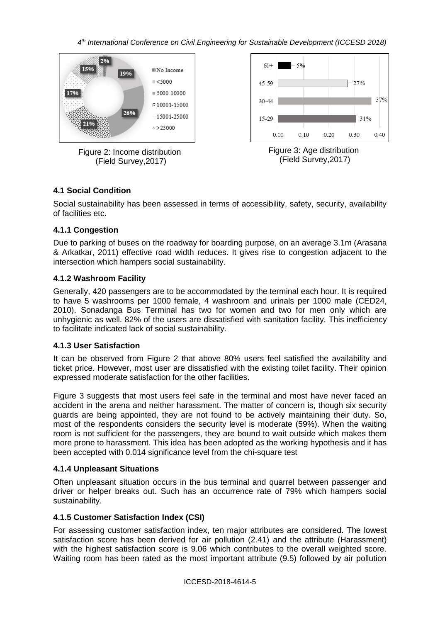*4 th International Conference on Civil Engineering for Sustainable Development (ICCESD 2018)*



# **4.1 Social Condition**

Social sustainability has been assessed in terms of accessibility, safety, security, availability of facilities etc.

### **4.1.1 Congestion**

Due to parking of buses on the roadway for boarding purpose, on an average 3.1m (Arasana & Arkatkar, 2011) effective road width reduces. It gives rise to congestion adjacent to the intersection which hampers social sustainability.

### **4.1.2 Washroom Facility**

Generally, 420 passengers are to be accommodated by the terminal each hour. It is required to have 5 washrooms per 1000 female, 4 washroom and urinals per 1000 male (CED24, 2010). Sonadanga Bus Terminal has two for women and two for men only which are unhygienic as well. 82% of the users are dissatisfied with sanitation facility. This inefficiency to facilitate indicated lack of social sustainability.

### **4.1.3 User Satisfaction**

It can be observed from Figure 2 that above 80% users feel satisfied the availability and ticket price. However, most user are dissatisfied with the existing toilet facility. Their opinion expressed moderate satisfaction for the other facilities.

Figure 3 suggests that most users feel safe in the terminal and most have never faced an accident in the arena and neither harassment. The matter of concern is, though six security guards are being appointed, they are not found to be actively maintaining their duty. So, most of the respondents considers the security level is moderate (59%). When the waiting room is not sufficient for the passengers, they are bound to wait outside which makes them more prone to harassment. This idea has been adopted as the working hypothesis and it has been accepted with 0.014 significance level from the chi-square test

# **4.1.4 Unpleasant Situations**

Often unpleasant situation occurs in the bus terminal and quarrel between passenger and driver or helper breaks out. Such has an occurrence rate of 79% which hampers social sustainability.

# **4.1.5 Customer Satisfaction Index (CSI)**

For assessing customer satisfaction index, ten major attributes are considered. The lowest satisfaction score has been derived for air pollution (2.41) and the attribute (Harassment) with the highest satisfaction score is 9.06 which contributes to the overall weighted score. Waiting room has been rated as the most important attribute (9.5) followed by air pollution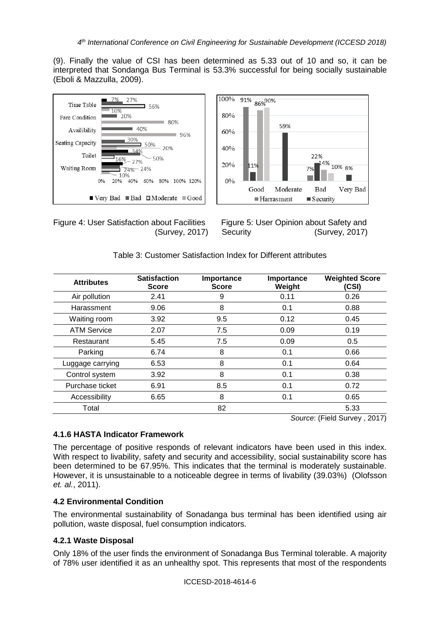(9). Finally the value of CSI has been determined as 5.33 out of 10 and so, it can be interpreted that Sondanga Bus Terminal is 53.3% successful for being socially sustainable (Eboli & Mazzulla, 2009).



Figure 4: User Satisfaction about Facilities Figure 5: User Opinion about Safety and



(Survey, 2017) Security (Survey, 2017)

| <b>Attributes</b>  | <b>Satisfaction</b><br><b>Score</b> | Importance<br><b>Score</b> | Importance<br>Weight | <b>Weighted Score</b><br>(CSI) |
|--------------------|-------------------------------------|----------------------------|----------------------|--------------------------------|
| Air pollution      | 2.41                                | 9                          | 0.11                 | 0.26                           |
| Harassment         | 9.06                                | 8                          | 0.1                  | 0.88                           |
| Waiting room       | 3.92                                | 9.5                        | 0.12                 | 0.45                           |
| <b>ATM Service</b> | 2.07                                | 7.5                        | 0.09                 | 0.19                           |
| Restaurant         | 5.45                                | 7.5                        | 0.09                 | 0.5                            |
| Parking            | 6.74                                | 8                          | 0.1                  | 0.66                           |
| Luggage carrying   | 6.53                                | 8                          | 0.1                  | 0.64                           |
| Control system     | 3.92                                | 8                          | 0.1                  | 0.38                           |
| Purchase ticket    | 6.91                                | 8.5                        | 0.1                  | 0.72                           |
| Accessibility      | 6.65                                | 8                          | 0.1                  | 0.65                           |
| Total              |                                     | 82                         |                      | 5.33                           |
|                    |                                     |                            |                      | Source: (Field Survey, 2017)   |

| Table 3: Customer Satisfaction Index for Different attributes |  |
|---------------------------------------------------------------|--|
|---------------------------------------------------------------|--|

### **4.1.6 HASTA Indicator Framework**

The percentage of positive responds of relevant indicators have been used in this index. With respect to livability, safety and security and accessibility, social sustainability score has been determined to be 67.95%. This indicates that the terminal is moderately sustainable. However, it is unsustainable to a noticeable degree in terms of livability (39.03%) (Olofsson *et. al.*, 2011).

### **4.2 Environmental Condition**

The environmental sustainability of Sonadanga bus terminal has been identified using air pollution, waste disposal, fuel consumption indicators.

### **4.2.1 Waste Disposal**

Only 18% of the user finds the environment of Sonadanga Bus Terminal tolerable. A majority of 78% user identified it as an unhealthy spot. This represents that most of the respondents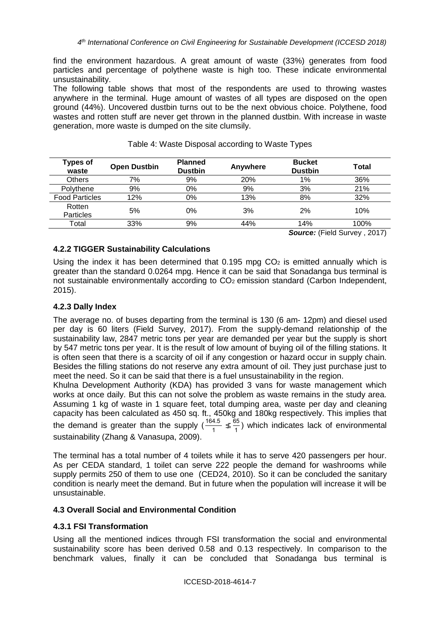find the environment hazardous. A great amount of waste (33%) generates from food particles and percentage of polythene waste is high too. These indicate environmental unsustainability.

The following table shows that most of the respondents are used to throwing wastes anywhere in the terminal. Huge amount of wastes of all types are disposed on the open ground (44%). Uncovered dustbin turns out to be the next obvious choice. Polythene, food wastes and rotten stuff are never get thrown in the planned dustbin. With increase in waste generation, more waste is dumped on the site clumsily.

| <b>Types of</b><br>waste | <b>Open Dustbin</b> | <b>Planned</b><br><b>Dustbin</b> | Anywhere | <b>Bucket</b><br><b>Dustbin</b> | Total |
|--------------------------|---------------------|----------------------------------|----------|---------------------------------|-------|
| <b>Others</b>            | 7%                  | 9%                               | 20%      | 1%                              | 36%   |
| Polythene                | 9%                  | $0\%$                            | 9%       | 3%                              | 21%   |
| <b>Food Particles</b>    | 12%                 | 0%                               | 13%      | 8%                              | 32%   |
| Rotten<br>Particles      | 5%                  | 0%                               | 3%       | 2%                              | 10%   |
| Total                    | 33%                 | 9%                               | 44%      | 14%                             | 100%  |
|                          |                     |                                  |          | $\sim$ $\sim$<br>$\sim$         | ----  |

| Table 4: Waste Disposal according to Waste Types |  |  |  |
|--------------------------------------------------|--|--|--|
|                                                  |  |  |  |

*Source:* (Field Survey , 2017)

# **4.2.2 TIGGER Sustainability Calculations**

Using the index it has been determined that  $0.195$  mpg  $CO<sub>2</sub>$  is emitted annually which is greater than the standard 0.0264 mpg. Hence it can be said that Sonadanga bus terminal is not sustainable environmentally according to CO<sub>2</sub> emission standard (Carbon Independent, 2015).

# **4.2.3 Dally Index**

The average no. of buses departing from the terminal is 130 (6 am- 12pm) and diesel used per day is 60 liters (Field Survey, 2017). From the supply-demand relationship of the sustainability law, 2847 metric tons per year are demanded per year but the supply is short by 547 metric tons per year. It is the result of low amount of buying oil of the filling stations. It is often seen that there is a scarcity of oil if any congestion or hazard occur in supply chain. Besides the filling stations do not reserve any extra amount of oil. They just purchase just to meet the need. So it can be said that there is a fuel unsustainability in the region.

Khulna Development Authority (KDA) has provided 3 vans for waste management which works at once daily. But this can not solve the problem as waste remains in the study area. Assuming 1 kg of waste in 1 square feet, total dumping area, waste per day and cleaning capacity has been calculated as 450 sq. ft., 450kg and 180kg respectively. This implies that the demand is greater than the supply  $\left(\frac{164.5}{4}\right)$  $\frac{4.5}{1}$  ≰  $\frac{65}{1}$  $\frac{30}{1}$ ) which indicates lack of environmental sustainability (Zhang & Vanasupa, 2009).

The terminal has a total number of 4 toilets while it has to serve 420 passengers per hour. As per CEDA standard, 1 toilet can serve 222 people the demand for washrooms while supply permits 250 of them to use one (CED24, 2010). So it can be concluded the sanitary condition is nearly meet the demand. But in future when the population will increase it will be unsustainable.

# **4.3 Overall Social and Environmental Condition**

# **4.3.1 FSI Transformation**

Using all the mentioned indices through FSI transformation the social and environmental sustainability score has been derived 0.58 and 0.13 respectively. In comparison to the benchmark values, finally it can be concluded that Sonadanga bus terminal is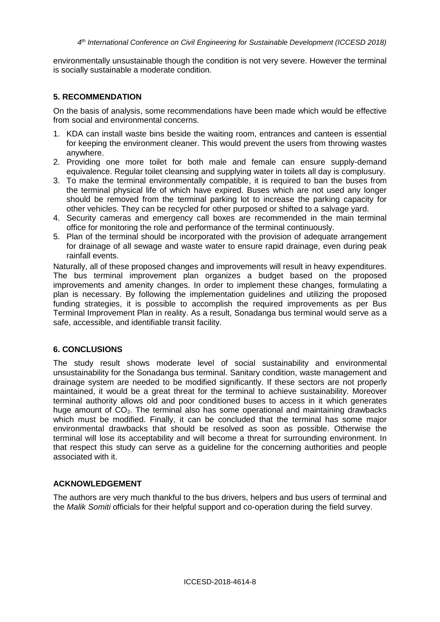environmentally unsustainable though the condition is not very severe. However the terminal is socially sustainable a moderate condition.

### **5. RECOMMENDATION**

On the basis of analysis, some recommendations have been made which would be effective from social and environmental concerns.

- 1. KDA can install waste bins beside the waiting room, entrances and canteen is essential for keeping the environment cleaner. This would prevent the users from throwing wastes anywhere.
- 2. Providing one more toilet for both male and female can ensure supply-demand equivalence. Regular toilet cleansing and supplying water in toilets all day is complusury.
- 3. To make the terminal environmentally compatible, it is required to ban the buses from the terminal physical life of which have expired. Buses which are not used any longer should be removed from the terminal parking lot to increase the parking capacity for other vehicles. They can be recycled for other purposed or shifted to a salvage yard.
- 4. Security cameras and emergency call boxes are recommended in the main terminal office for monitoring the role and performance of the terminal continuously.
- 5. Plan of the terminal should be incorporated with the provision of adequate arrangement for drainage of all sewage and waste water to ensure rapid drainage, even during peak rainfall events.

Naturally, all of these proposed changes and improvements will result in heavy expenditures. The bus terminal improvement plan organizes a budget based on the proposed improvements and amenity changes. In order to implement these changes, formulating a plan is necessary. By following the implementation guidelines and utilizing the proposed funding strategies, it is possible to accomplish the required improvements as per Bus Terminal Improvement Plan in reality. As a result, Sonadanga bus terminal would serve as a safe, accessible, and identifiable transit facility.

### **6. CONCLUSIONS**

The study result shows moderate level of social sustainability and environmental unsustainability for the Sonadanga bus terminal. Sanitary condition, waste management and drainage system are needed to be modified significantly. If these sectors are not properly maintained, it would be a great threat for the terminal to achieve sustainability. Moreover terminal authority allows old and poor conditioned buses to access in it which generates huge amount of CO<sub>2</sub>. The terminal also has some operational and maintaining drawbacks which must be modified. Finally, it can be concluded that the terminal has some major environmental drawbacks that should be resolved as soon as possible. Otherwise the terminal will lose its acceptability and will become a threat for surrounding environment. In that respect this study can serve as a guideline for the concerning authorities and people associated with it.

### **ACKNOWLEDGEMENT**

The authors are very much thankful to the bus drivers, helpers and bus users of terminal and the *Malik Somiti* officials for their helpful support and co-operation during the field survey.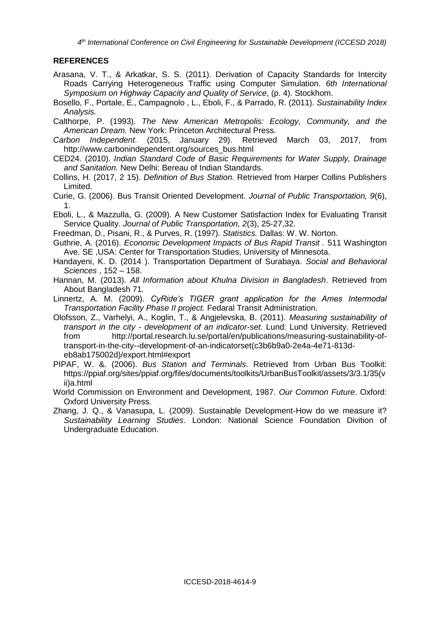*4 th International Conference on Civil Engineering for Sustainable Development (ICCESD 2018)*

### **REFERENCES**

- Arasana, V. T., & Arkatkar, S. S. (2011). Derivation of Capacity Standards for Intercity Roads Carrying Heterogeneous Traffic using Computer Simulation. *6th International Symposium on Highway Capacity and Quality of Service*, (p. 4). Stockhom.
- Bosello, F., Portale, E., Campagnolo , L., Eboli, F., & Parrado, R. (2011). *Sustainability Index Analysis.*

Calthorpe, P. (1993). *The New American Metropolis: Ecology, Community, and the American Dream.* New York: Princeton Architectural Press.

- *Carbon Independent*. (2015, January 29). Retrieved March 03, 2017, from http://www.carbonindependent.org/sources\_bus.html
- CED24. (2010). *Indian Standard Code of Basic Requirements for Water Supply, Drainage and Sanitation.* New Delhi: Bereau of Indian Standards.
- Collins, H. (2017, 2 15). *Definition of Bus Station*. Retrieved from Harper Collins Publishers Limited.
- Curie, G. (2006). Bus Transit Oriented Development. *Journal of Public Transportation, 9*(6), 1.
- Eboli, L., & Mazzulla, G. (2009). A New Customer Satisfaction Index for Evaluating Transit Service Quality. *Journal of Public Transportation, 2*(3), 25-27,32.
- Freedman, D., Pisani, R., & Purves, R. (1997). *Statistics.* Dallas: W. W. Norton.
- Guthrie, A. (2016). *Economic Development Impacts of Bus Rapid Transit .* 511 Washington Ave. SE ,USA: Center for Transportation Studies, University of Minnesota.
- Handayeni, K. D. (2014 ). Transportation Department of Surabaya. *Social and Behavioral Sciences* , 152 – 158.
- Hannan, M. (2013). *All Information about Khulna Division in Bangladesh*. Retrieved from About Bangladesh 71.
- Linnertz, A. M. (2009). *CyRide's TIGER grant application for the Ames Intermodal Transportation Facility Phase II project.* Fedaral Transit Administration.
- Olofsson, Z., Varhelyi, A., Koglin, T., & Angjelevska, B. (2011). *Measuring sustainability of transport in the city - development of an indicator-set.* Lund: Lund University. Retrieved from http://portal.research.lu.se/portal/en/publications/measuring-sustainability-oftransport-in-the-city--development-of-an-indicatorset(c3b6b9a0-2e4a-4e71-813deb8ab175002d)/export.html#export
- PIPAF, W. &. (2006). *Bus Station and Terminals*. Retrieved from Urban Bus Toolkit: https://ppiaf.org/sites/ppiaf.org/files/documents/toolkits/UrbanBusToolkit/assets/3/3.1/35(v ii)a.html
- World Commission on Environment and Development, 1987. *Our Common Future*. Oxford: Oxford University Press.
- Zhang, J. Q., & Vanasupa, L. (2009). Sustainable Development-How do we measure it? *Sustainability Learning Studies*. London: National Science Foundation Divition of Undergraduate Education.